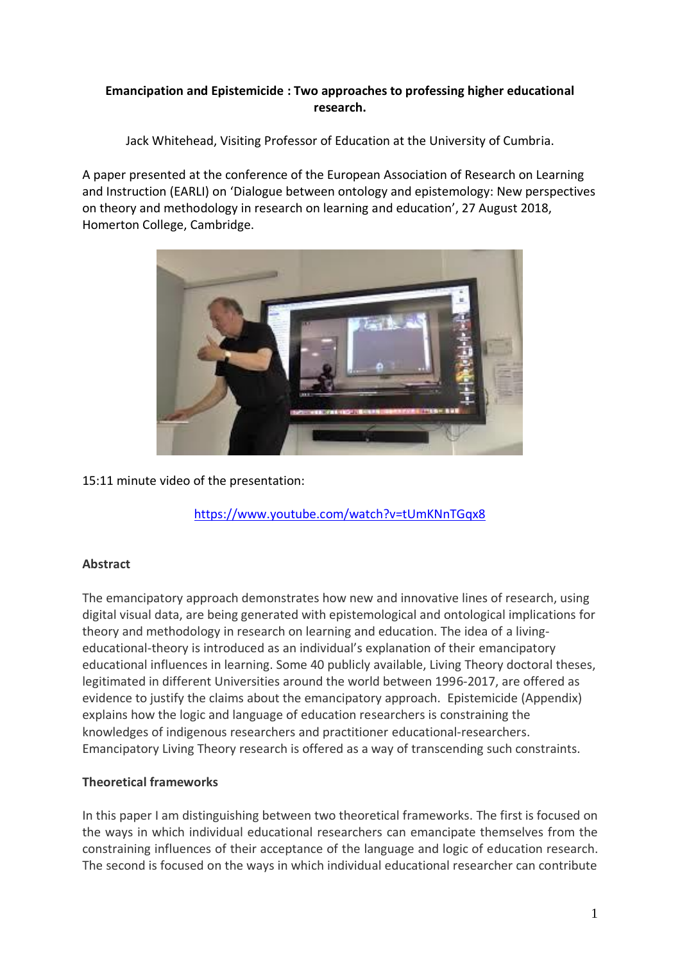## **Emancipation and Epistemicide : Two approaches to professing higher educational research.**

Jack Whitehead, Visiting Professor of Education at the University of Cumbria.

A paper presented at the conference of the European Association of Research on Learning and Instruction (EARLI) on 'Dialogue between ontology and epistemology: New perspectives on theory and methodology in research on learning and education', 27 August 2018, Homerton College, Cambridge.



15:11 minute video of the presentation:

<https://www.youtube.com/watch?v=tUmKNnTGqx8>

# **Abstract**

The emancipatory approach demonstrates how new and innovative lines of research, using digital visual data, are being generated with epistemological and ontological implications for theory and methodology in research on learning and education. The idea of a livingeducational-theory is introduced as an individual's explanation of their emancipatory educational influences in learning. Some 40 publicly available, Living Theory doctoral theses, legitimated in different Universities around the world between 1996-2017, are offered as evidence to justify the claims about the emancipatory approach. Epistemicide (Appendix) explains how the logic and language of education researchers is constraining the knowledges of indigenous researchers and practitioner educational-researchers. Emancipatory Living Theory research is offered as a way of transcending such constraints.

# **Theoretical frameworks**

In this paper I am distinguishing between two theoretical frameworks. The first is focused on the ways in which individual educational researchers can emancipate themselves from the constraining influences of their acceptance of the language and logic of education research. The second is focused on the ways in which individual educational researcher can contribute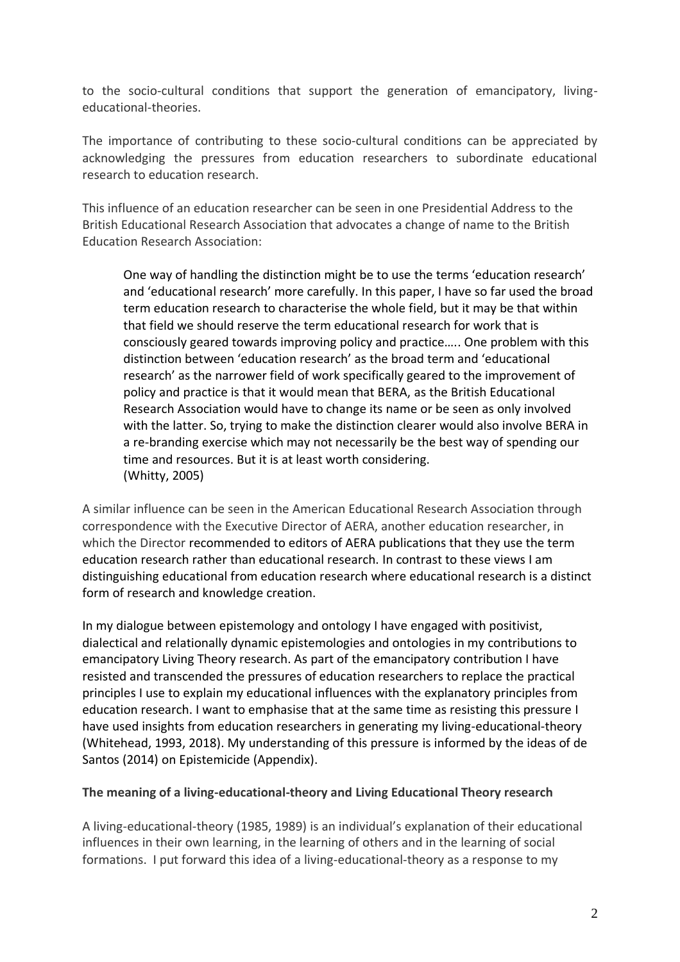to the socio-cultural conditions that support the generation of emancipatory, livingeducational-theories.

The importance of contributing to these socio-cultural conditions can be appreciated by acknowledging the pressures from education researchers to subordinate educational research to education research.

This influence of an education researcher can be seen in one Presidential Address to the British Educational Research Association that advocates a change of name to the British Education Research Association:

One way of handling the distinction might be to use the terms 'education research' and 'educational research' more carefully. In this paper, I have so far used the broad term education research to characterise the whole field, but it may be that within that field we should reserve the term educational research for work that is consciously geared towards improving policy and practice….. One problem with this distinction between 'education research' as the broad term and 'educational research' as the narrower field of work specifically geared to the improvement of policy and practice is that it would mean that BERA, as the British Educational Research Association would have to change its name or be seen as only involved with the latter. So, trying to make the distinction clearer would also involve BERA in a re-branding exercise which may not necessarily be the best way of spending our time and resources. But it is at least worth considering. (Whitty, 2005)

A similar influence can be seen in the American Educational Research Association through correspondence with the Executive Director of AERA, another education researcher, in which the Director recommended to editors of AERA publications that they use the term education research rather than educational research. In contrast to these views I am distinguishing educational from education research where educational research is a distinct form of research and knowledge creation.

In my dialogue between epistemology and ontology I have engaged with positivist, dialectical and relationally dynamic epistemologies and ontologies in my contributions to emancipatory Living Theory research. As part of the emancipatory contribution I have resisted and transcended the pressures of education researchers to replace the practical principles I use to explain my educational influences with the explanatory principles from education research. I want to emphasise that at the same time as resisting this pressure I have used insights from education researchers in generating my living-educational-theory (Whitehead, 1993, 2018). My understanding of this pressure is informed by the ideas of de Santos (2014) on Epistemicide (Appendix).

#### **The meaning of a living-educational-theory and Living Educational Theory research**

A living-educational-theory (1985, 1989) is an individual's explanation of their educational influences in their own learning, in the learning of others and in the learning of social formations. I put forward this idea of a living-educational-theory as a response to my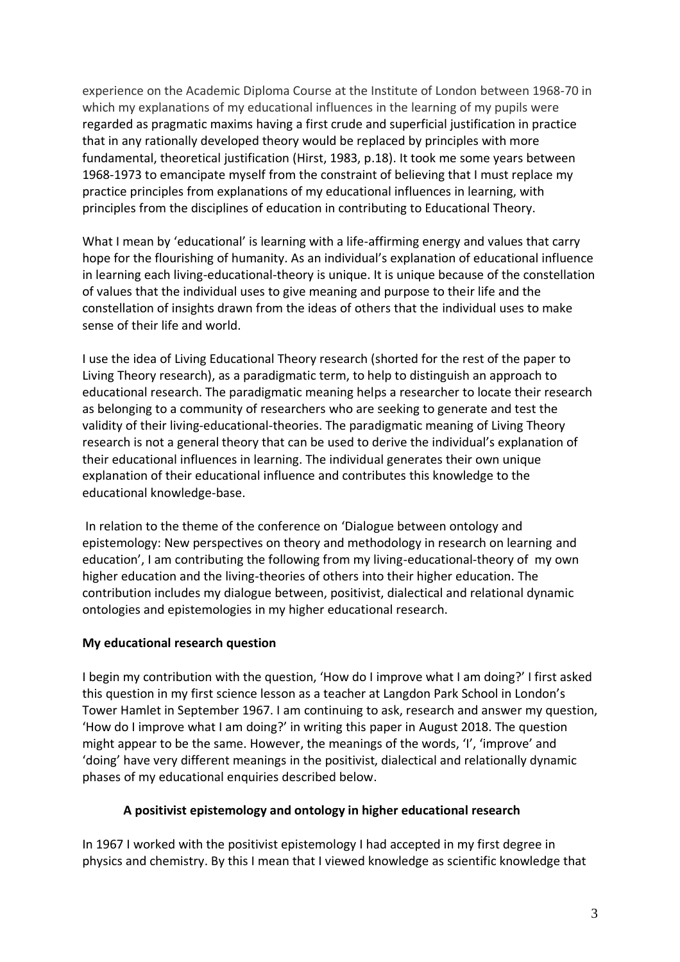experience on the Academic Diploma Course at the Institute of London between 1968-70 in which my explanations of my educational influences in the learning of my pupils were regarded as pragmatic maxims having a first crude and superficial justification in practice that in any rationally developed theory would be replaced by principles with more fundamental, theoretical justification (Hirst, 1983, p.18). It took me some years between 1968-1973 to emancipate myself from the constraint of believing that I must replace my practice principles from explanations of my educational influences in learning, with principles from the disciplines of education in contributing to Educational Theory.

What I mean by 'educational' is learning with a life-affirming energy and values that carry hope for the flourishing of humanity. As an individual's explanation of educational influence in learning each living-educational-theory is unique. It is unique because of the constellation of values that the individual uses to give meaning and purpose to their life and the constellation of insights drawn from the ideas of others that the individual uses to make sense of their life and world.

I use the idea of Living Educational Theory research (shorted for the rest of the paper to Living Theory research), as a paradigmatic term, to help to distinguish an approach to educational research. The paradigmatic meaning helps a researcher to locate their research as belonging to a community of researchers who are seeking to generate and test the validity of their living-educational-theories. The paradigmatic meaning of Living Theory research is not a general theory that can be used to derive the individual's explanation of their educational influences in learning. The individual generates their own unique explanation of their educational influence and contributes this knowledge to the educational knowledge-base.

In relation to the theme of the conference on 'Dialogue between ontology and epistemology: New perspectives on theory and methodology in research on learning and education', I am contributing the following from my living-educational-theory of my own higher education and the living-theories of others into their higher education. The contribution includes my dialogue between, positivist, dialectical and relational dynamic ontologies and epistemologies in my higher educational research.

## **My educational research question**

I begin my contribution with the question, 'How do I improve what I am doing?' I first asked this question in my first science lesson as a teacher at Langdon Park School in London's Tower Hamlet in September 1967. I am continuing to ask, research and answer my question, 'How do I improve what I am doing?' in writing this paper in August 2018. The question might appear to be the same. However, the meanings of the words, 'I', 'improve' and 'doing' have very different meanings in the positivist, dialectical and relationally dynamic phases of my educational enquiries described below.

## **A positivist epistemology and ontology in higher educational research**

In 1967 I worked with the positivist epistemology I had accepted in my first degree in physics and chemistry. By this I mean that I viewed knowledge as scientific knowledge that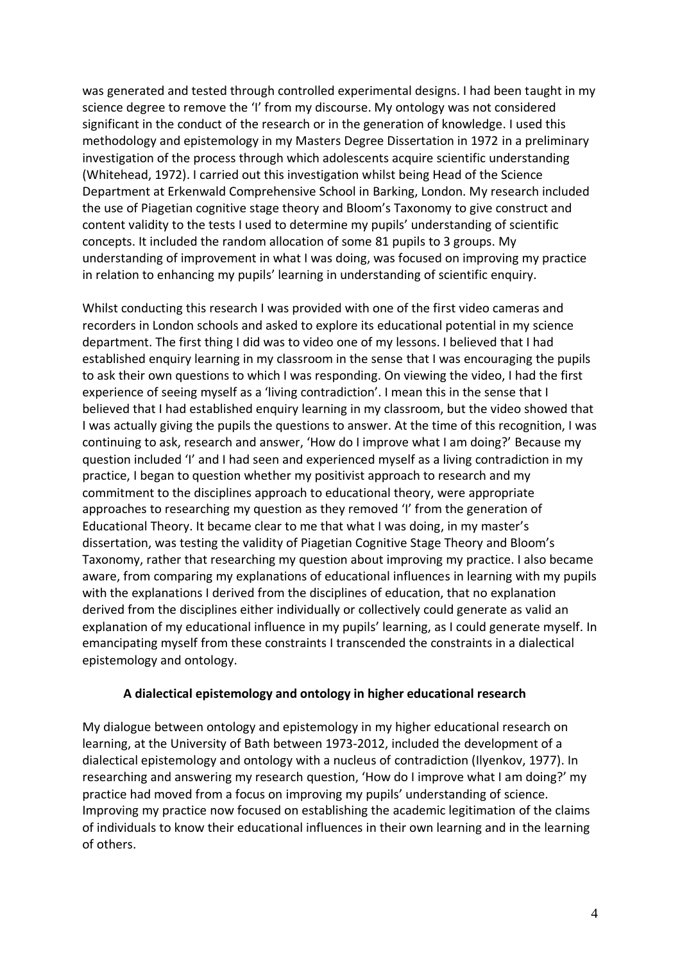was generated and tested through controlled experimental designs. I had been taught in my science degree to remove the 'I' from my discourse. My ontology was not considered significant in the conduct of the research or in the generation of knowledge. I used this methodology and epistemology in my Masters Degree Dissertation in 1972 in a preliminary investigation of the process through which adolescents acquire scientific understanding (Whitehead, 1972). I carried out this investigation whilst being Head of the Science Department at Erkenwald Comprehensive School in Barking, London. My research included the use of Piagetian cognitive stage theory and Bloom's Taxonomy to give construct and content validity to the tests I used to determine my pupils' understanding of scientific concepts. It included the random allocation of some 81 pupils to 3 groups. My understanding of improvement in what I was doing, was focused on improving my practice in relation to enhancing my pupils' learning in understanding of scientific enquiry.

Whilst conducting this research I was provided with one of the first video cameras and recorders in London schools and asked to explore its educational potential in my science department. The first thing I did was to video one of my lessons. I believed that I had established enquiry learning in my classroom in the sense that I was encouraging the pupils to ask their own questions to which I was responding. On viewing the video, I had the first experience of seeing myself as a 'living contradiction'. I mean this in the sense that I believed that I had established enquiry learning in my classroom, but the video showed that I was actually giving the pupils the questions to answer. At the time of this recognition, I was continuing to ask, research and answer, 'How do I improve what I am doing?' Because my question included 'I' and I had seen and experienced myself as a living contradiction in my practice, I began to question whether my positivist approach to research and my commitment to the disciplines approach to educational theory, were appropriate approaches to researching my question as they removed 'I' from the generation of Educational Theory. It became clear to me that what I was doing, in my master's dissertation, was testing the validity of Piagetian Cognitive Stage Theory and Bloom's Taxonomy, rather that researching my question about improving my practice. I also became aware, from comparing my explanations of educational influences in learning with my pupils with the explanations I derived from the disciplines of education, that no explanation derived from the disciplines either individually or collectively could generate as valid an explanation of my educational influence in my pupils' learning, as I could generate myself. In emancipating myself from these constraints I transcended the constraints in a dialectical epistemology and ontology.

## **A dialectical epistemology and ontology in higher educational research**

My dialogue between ontology and epistemology in my higher educational research on learning, at the University of Bath between 1973-2012, included the development of a dialectical epistemology and ontology with a nucleus of contradiction (Ilyenkov, 1977). In researching and answering my research question, 'How do I improve what I am doing?' my practice had moved from a focus on improving my pupils' understanding of science. Improving my practice now focused on establishing the academic legitimation of the claims of individuals to know their educational influences in their own learning and in the learning of others.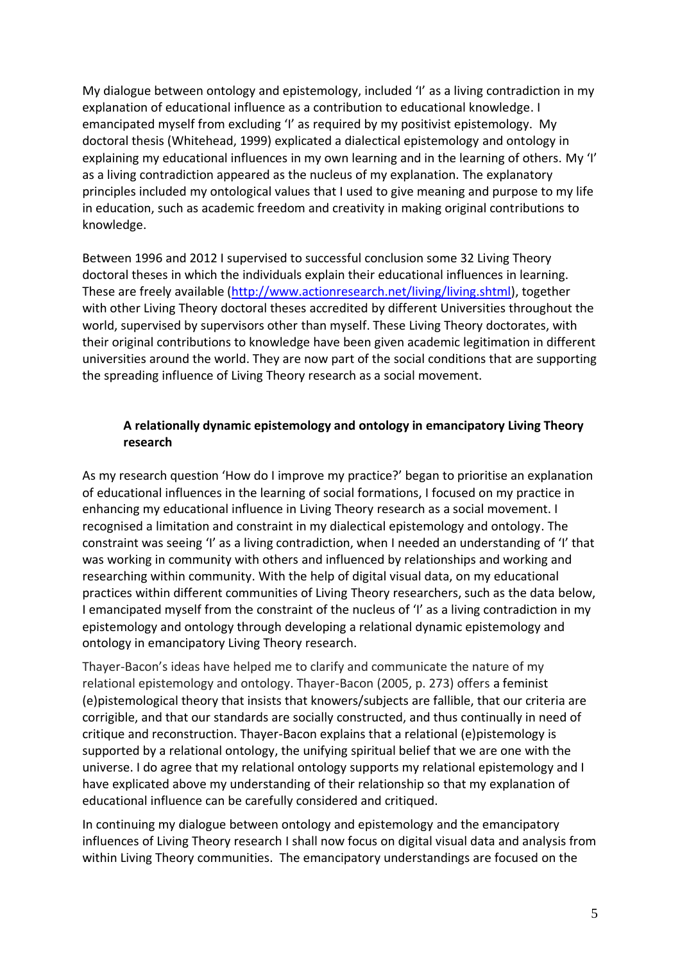My dialogue between ontology and epistemology, included 'I' as a living contradiction in my explanation of educational influence as a contribution to educational knowledge. I emancipated myself from excluding 'I' as required by my positivist epistemology. My doctoral thesis (Whitehead, 1999) explicated a dialectical epistemology and ontology in explaining my educational influences in my own learning and in the learning of others. My 'I' as a living contradiction appeared as the nucleus of my explanation. The explanatory principles included my ontological values that I used to give meaning and purpose to my life in education, such as academic freedom and creativity in making original contributions to knowledge.

Between 1996 and 2012 I supervised to successful conclusion some 32 Living Theory doctoral theses in which the individuals explain their educational influences in learning. These are freely available [\(http://www.actionresearch.net/living/living.shtml\)](http://www.actionresearch.net/living/living.shtml), together with other Living Theory doctoral theses accredited by different Universities throughout the world, supervised by supervisors other than myself. These Living Theory doctorates, with their original contributions to knowledge have been given academic legitimation in different universities around the world. They are now part of the social conditions that are supporting the spreading influence of Living Theory research as a social movement.

## **A relationally dynamic epistemology and ontology in emancipatory Living Theory research**

As my research question 'How do I improve my practice?' began to prioritise an explanation of educational influences in the learning of social formations, I focused on my practice in enhancing my educational influence in Living Theory research as a social movement. I recognised a limitation and constraint in my dialectical epistemology and ontology. The constraint was seeing 'I' as a living contradiction, when I needed an understanding of 'I' that was working in community with others and influenced by relationships and working and researching within community. With the help of digital visual data, on my educational practices within different communities of Living Theory researchers, such as the data below, I emancipated myself from the constraint of the nucleus of 'I' as a living contradiction in my epistemology and ontology through developing a relational dynamic epistemology and ontology in emancipatory Living Theory research.

Thayer-Bacon's ideas have helped me to clarify and communicate the nature of my relational epistemology and ontology. Thayer-Bacon (2005, p. 273) offers a feminist (e)pistemological theory that insists that knowers/subjects are fallible, that our criteria are corrigible, and that our standards are socially constructed, and thus continually in need of critique and reconstruction. Thayer-Bacon explains that a relational (e)pistemology is supported by a relational ontology, the unifying spiritual belief that we are one with the universe. I do agree that my relational ontology supports my relational epistemology and I have explicated above my understanding of their relationship so that my explanation of educational influence can be carefully considered and critiqued.

In continuing my dialogue between ontology and epistemology and the emancipatory influences of Living Theory research I shall now focus on digital visual data and analysis from within Living Theory communities. The emancipatory understandings are focused on the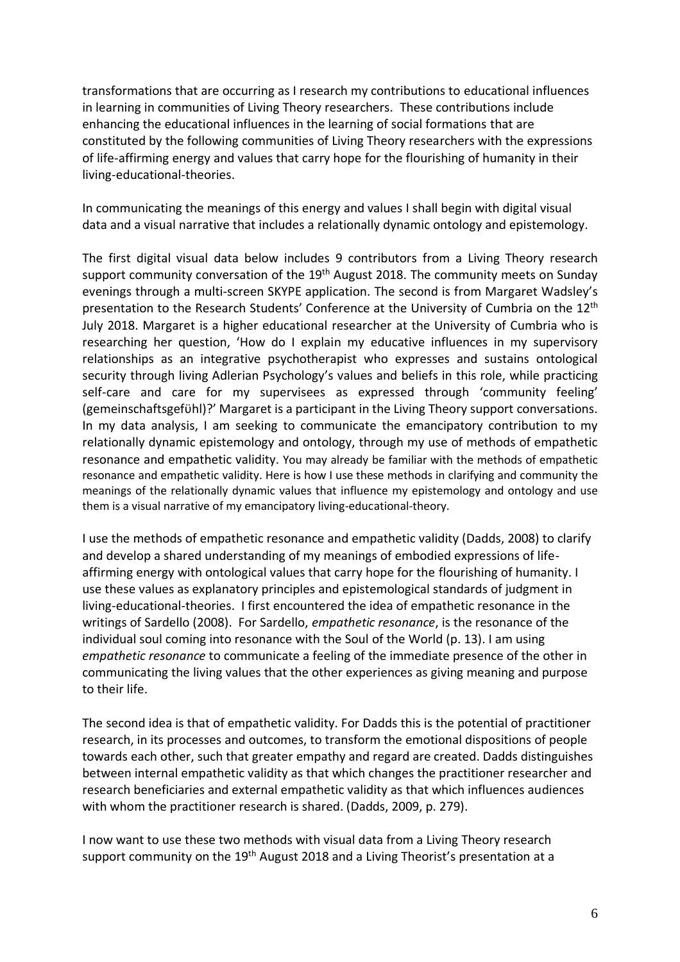transformations that are occurring as I research my contributions to educational influences in learning in communities of Living Theory researchers. These contributions include enhancing the educational influences in the learning of social formations that are constituted by the following communities of Living Theory researchers with the expressions of life-affirming energy and values that carry hope for the flourishing of humanity in their living-educational-theories.

In communicating the meanings of this energy and values I shall begin with digital visual data and a visual narrative that includes a relationally dynamic ontology and epistemology.

The first digital visual data below includes 9 contributors from a Living Theory research support community conversation of the 19<sup>th</sup> August 2018. The community meets on Sunday evenings through a multi-screen SKYPE application. The second is from Margaret Wadsley's presentation to the Research Students' Conference at the University of Cumbria on the 12<sup>th</sup> July 2018. Margaret is a higher educational researcher at the University of Cumbria who is researching her question, 'How do I explain my educative influences in my supervisory relationships as an integrative psychotherapist who expresses and sustains ontological security through living Adlerian Psychology's values and beliefs in this role, while practicing self-care and care for my supervisees as expressed through 'community feeling' (gemeinschaftsgefϋhl)?' Margaret is a participant in the Living Theory support conversations. In my data analysis, I am seeking to communicate the emancipatory contribution to my relationally dynamic epistemology and ontology, through my use of methods of empathetic resonance and empathetic validity. You may already be familiar with the methods of empathetic resonance and empathetic validity. Here is how I use these methods in clarifying and community the meanings of the relationally dynamic values that influence my epistemology and ontology and use them is a visual narrative of my emancipatory living-educational-theory.

I use the methods of empathetic resonance and empathetic validity (Dadds, 2008) to clarify and develop a shared understanding of my meanings of embodied expressions of lifeaffirming energy with ontological values that carry hope for the flourishing of humanity. I use these values as explanatory principles and epistemological standards of judgment in living-educational-theories. I first encountered the idea of empathetic resonance in the writings of Sardello (2008). For Sardello, *empathetic resonance*, is the resonance of the individual soul coming into resonance with the Soul of the World (p. 13). I am using *empathetic resonance* to communicate a feeling of the immediate presence of the other in communicating the living values that the other experiences as giving meaning and purpose to their life.

The second idea is that of empathetic validity. For Dadds this is the potential of practitioner research, in its processes and outcomes, to transform the emotional dispositions of people towards each other, such that greater empathy and regard are created. Dadds distinguishes between internal empathetic validity as that which changes the practitioner researcher and research beneficiaries and external empathetic validity as that which influences audiences with whom the practitioner research is shared. (Dadds, 2009, p. 279).

I now want to use these two methods with visual data from a Living Theory research support community on the 19<sup>th</sup> August 2018 and a Living Theorist's presentation at a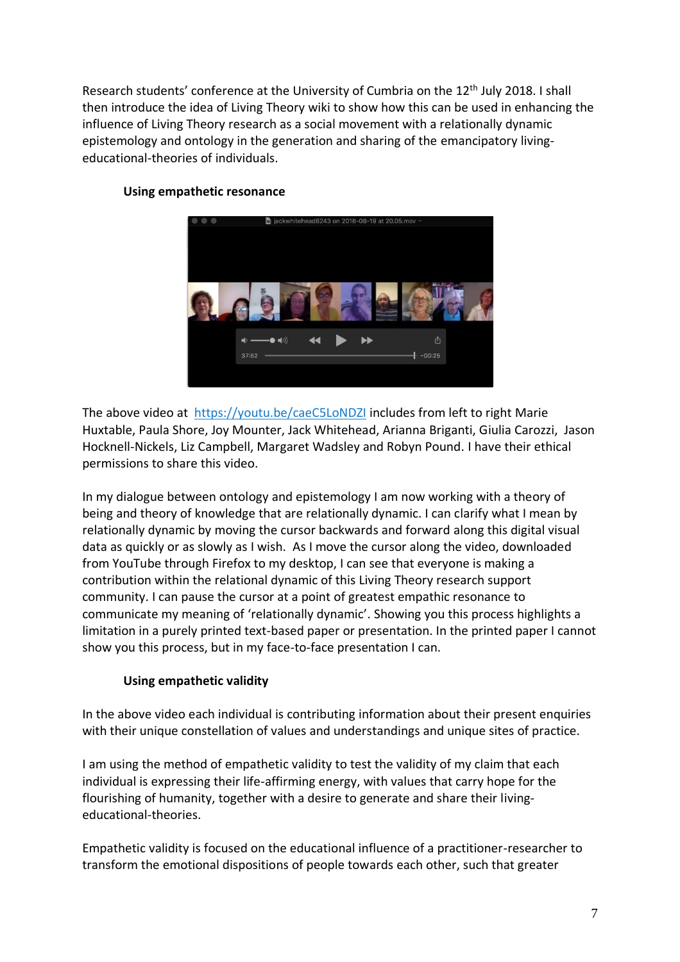Research students' conference at the University of Cumbria on the 12<sup>th</sup> July 2018. I shall then introduce the idea of Living Theory wiki to show how this can be used in enhancing the influence of Living Theory research as a social movement with a relationally dynamic epistemology and ontology in the generation and sharing of the emancipatory livingeducational-theories of individuals.



### **Using empathetic resonance**

The above video at <https://youtu.be/caeC5LoNDZI> includes from left to right Marie Huxtable, Paula Shore, Joy Mounter, Jack Whitehead, Arianna Briganti, Giulia Carozzi, Jason Hocknell-Nickels, Liz Campbell, Margaret Wadsley and Robyn Pound. I have their ethical permissions to share this video.

In my dialogue between ontology and epistemology I am now working with a theory of being and theory of knowledge that are relationally dynamic. I can clarify what I mean by relationally dynamic by moving the cursor backwards and forward along this digital visual data as quickly or as slowly as I wish. As I move the cursor along the video, downloaded from YouTube through Firefox to my desktop, I can see that everyone is making a contribution within the relational dynamic of this Living Theory research support community. I can pause the cursor at a point of greatest empathic resonance to communicate my meaning of 'relationally dynamic'. Showing you this process highlights a limitation in a purely printed text-based paper or presentation. In the printed paper I cannot show you this process, but in my face-to-face presentation I can.

#### **Using empathetic validity**

In the above video each individual is contributing information about their present enquiries with their unique constellation of values and understandings and unique sites of practice.

I am using the method of empathetic validity to test the validity of my claim that each individual is expressing their life-affirming energy, with values that carry hope for the flourishing of humanity, together with a desire to generate and share their livingeducational-theories.

Empathetic validity is focused on the educational influence of a practitioner-researcher to transform the emotional dispositions of people towards each other, such that greater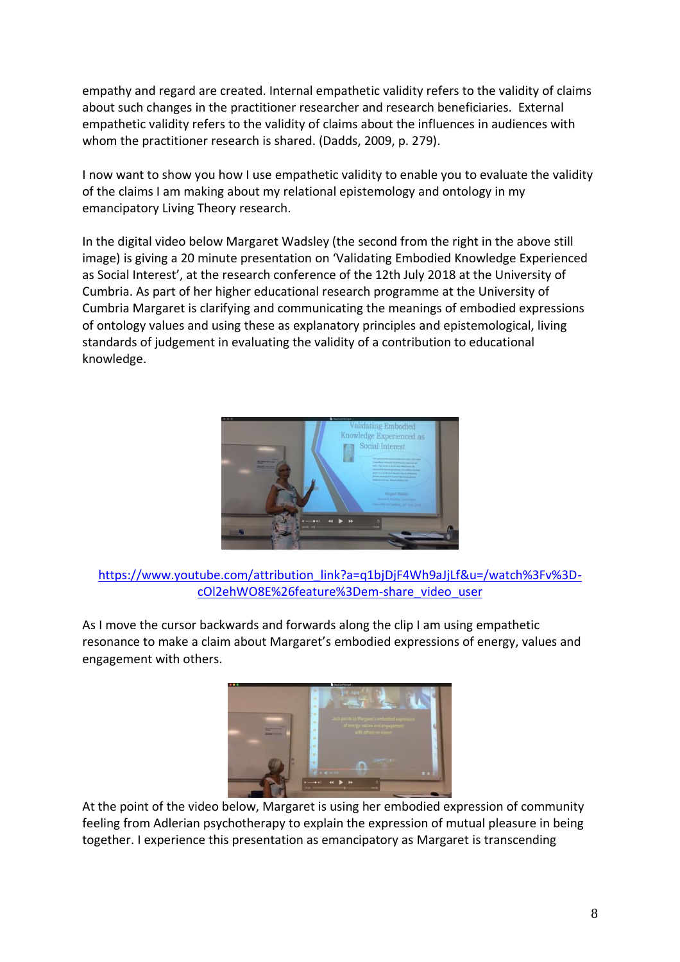empathy and regard are created. Internal empathetic validity refers to the validity of claims about such changes in the practitioner researcher and research beneficiaries. External empathetic validity refers to the validity of claims about the influences in audiences with whom the practitioner research is shared. (Dadds, 2009, p. 279).

I now want to show you how I use empathetic validity to enable you to evaluate the validity of the claims I am making about my relational epistemology and ontology in my emancipatory Living Theory research.

In the digital video below Margaret Wadsley (the second from the right in the above still image) is giving a 20 minute presentation on 'Validating Embodied Knowledge Experienced as Social Interest', at the research conference of the 12th July 2018 at the University of Cumbria. As part of her higher educational research programme at the University of Cumbria Margaret is clarifying and communicating the meanings of embodied expressions of ontology values and using these as explanatory principles and epistemological, living standards of judgement in evaluating the validity of a contribution to educational knowledge.



[https://www.youtube.com/attribution\\_link?a=q1bjDjF4Wh9aJjLf&u=/watch%3Fv%3D](https://www.youtube.com/attribution_link?a=q1bjDjF4Wh9aJjLf&u=/watch?v=-cOl2ehWO8E&feature=em-share_video_user)[cOl2ehWO8E%26feature%3Dem-share\\_video\\_user](https://www.youtube.com/attribution_link?a=q1bjDjF4Wh9aJjLf&u=/watch?v=-cOl2ehWO8E&feature=em-share_video_user)

As I move the cursor backwards and forwards along the clip I am using empathetic resonance to make a claim about Margaret's embodied expressions of energy, values and engagement with others.



At the point of the video below, Margaret is using her embodied expression of community feeling from Adlerian psychotherapy to explain the expression of mutual pleasure in being together. I experience this presentation as emancipatory as Margaret is transcending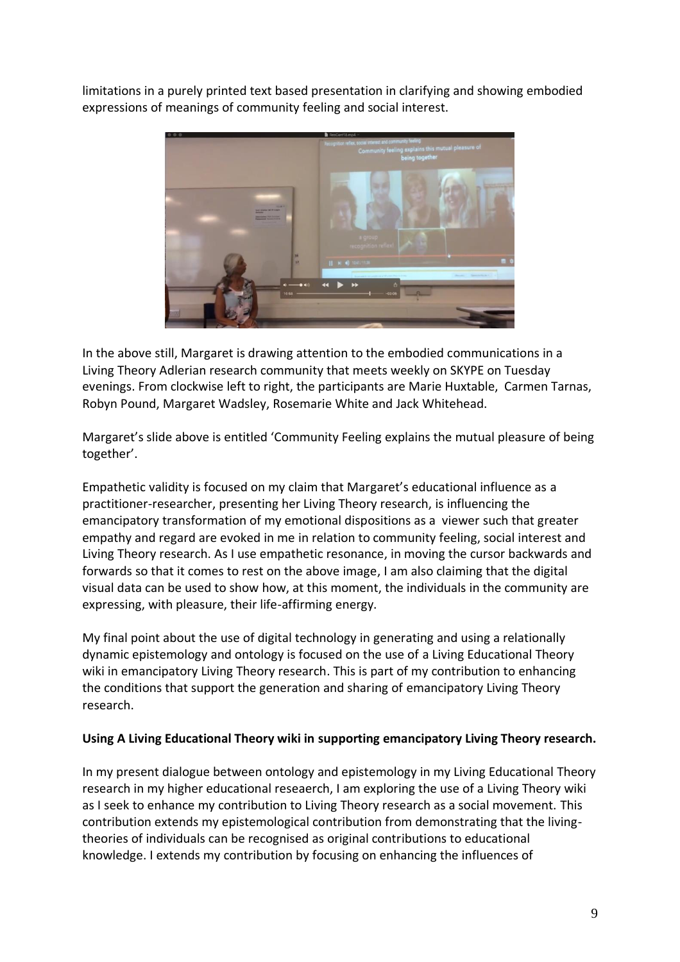limitations in a purely printed text based presentation in clarifying and showing embodied expressions of meanings of community feeling and social interest.



In the above still, Margaret is drawing attention to the embodied communications in a Living Theory Adlerian research community that meets weekly on SKYPE on Tuesday evenings. From clockwise left to right, the participants are Marie Huxtable, Carmen Tarnas, Robyn Pound, Margaret Wadsley, Rosemarie White and Jack Whitehead.

Margaret's slide above is entitled 'Community Feeling explains the mutual pleasure of being together'.

Empathetic validity is focused on my claim that Margaret's educational influence as a practitioner-researcher, presenting her Living Theory research, is influencing the emancipatory transformation of my emotional dispositions as a viewer such that greater empathy and regard are evoked in me in relation to community feeling, social interest and Living Theory research. As I use empathetic resonance, in moving the cursor backwards and forwards so that it comes to rest on the above image, I am also claiming that the digital visual data can be used to show how, at this moment, the individuals in the community are expressing, with pleasure, their life-affirming energy.

My final point about the use of digital technology in generating and using a relationally dynamic epistemology and ontology is focused on the use of a Living Educational Theory wiki in emancipatory Living Theory research. This is part of my contribution to enhancing the conditions that support the generation and sharing of emancipatory Living Theory research.

## **Using A Living Educational Theory wiki in supporting emancipatory Living Theory research.**

In my present dialogue between ontology and epistemology in my Living Educational Theory research in my higher educational reseaerch, I am exploring the use of a Living Theory wiki as I seek to enhance my contribution to Living Theory research as a social movement. This contribution extends my epistemological contribution from demonstrating that the livingtheories of individuals can be recognised as original contributions to educational knowledge. I extends my contribution by focusing on enhancing the influences of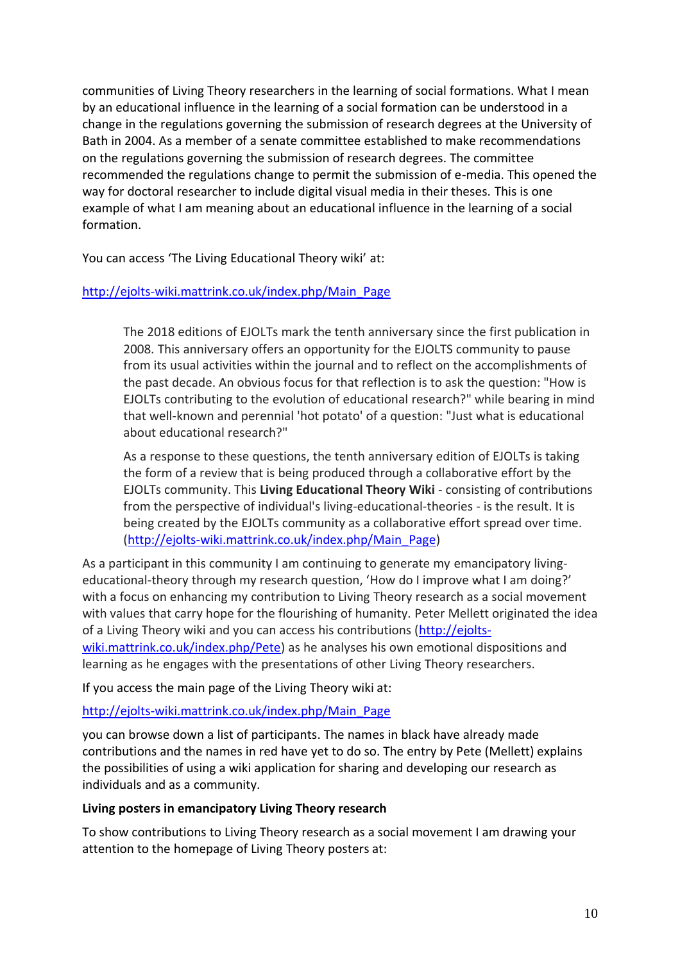communities of Living Theory researchers in the learning of social formations. What I mean by an educational influence in the learning of a social formation can be understood in a change in the regulations governing the submission of research degrees at the University of Bath in 2004. As a member of a senate committee established to make recommendations on the regulations governing the submission of research degrees. The committee recommended the regulations change to permit the submission of e-media. This opened the way for doctoral researcher to include digital visual media in their theses. This is one example of what I am meaning about an educational influence in the learning of a social formation.

You can access 'The Living Educational Theory wiki' at:

#### [http://ejolts-wiki.mattrink.co.uk/index.php/Main\\_Page](http://ejolts-wiki.mattrink.co.uk/index.php/Main_Page)

The 2018 editions of EJOLTs mark the tenth anniversary since the first publication in 2008. This anniversary offers an opportunity for the EJOLTS community to pause from its usual activities within the journal and to reflect on the accomplishments of the past decade. An obvious focus for that reflection is to ask the question: "How is EJOLTs contributing to the evolution of educational research?" while bearing in mind that well-known and perennial 'hot potato' of a question: "Just what is educational about educational research?"

As a response to these questions, the tenth anniversary edition of EJOLTs is taking the form of a review that is being produced through a collaborative effort by the EJOLTs community. This **Living Educational Theory Wiki** - consisting of contributions from the perspective of individual's living-educational-theories - is the result. It is being created by the EJOLTs community as a collaborative effort spread over time. [\(http://ejolts-wiki.mattrink.co.uk/index.php/Main\\_Page\)](http://ejolts-wiki.mattrink.co.uk/index.php/Main_Page)

As a participant in this community I am continuing to generate my emancipatory livingeducational-theory through my research question, 'How do I improve what I am doing?' with a focus on enhancing my contribution to Living Theory research as a social movement with values that carry hope for the flourishing of humanity. Peter Mellett originated the idea of a Living Theory wiki and you can access his contributions [\(http://ejolts](http://ejolts-wiki.mattrink.co.uk/index.php/Pete)[wiki.mattrink.co.uk/index.php/Pete\)](http://ejolts-wiki.mattrink.co.uk/index.php/Pete) as he analyses his own emotional dispositions and learning as he engages with the presentations of other Living Theory researchers.

If you access the main page of the Living Theory wiki at:

## [http://ejolts-wiki.mattrink.co.uk/index.php/Main\\_Page](http://ejolts-wiki.mattrink.co.uk/index.php/Main_Page)

you can browse down a list of participants. The names in black have already made contributions and the names in red have yet to do so. The entry by Pete (Mellett) explains the possibilities of using a wiki application for sharing and developing our research as individuals and as a community.

#### **Living posters in emancipatory Living Theory research**

To show contributions to Living Theory research as a social movement I am drawing your attention to the homepage of Living Theory posters at: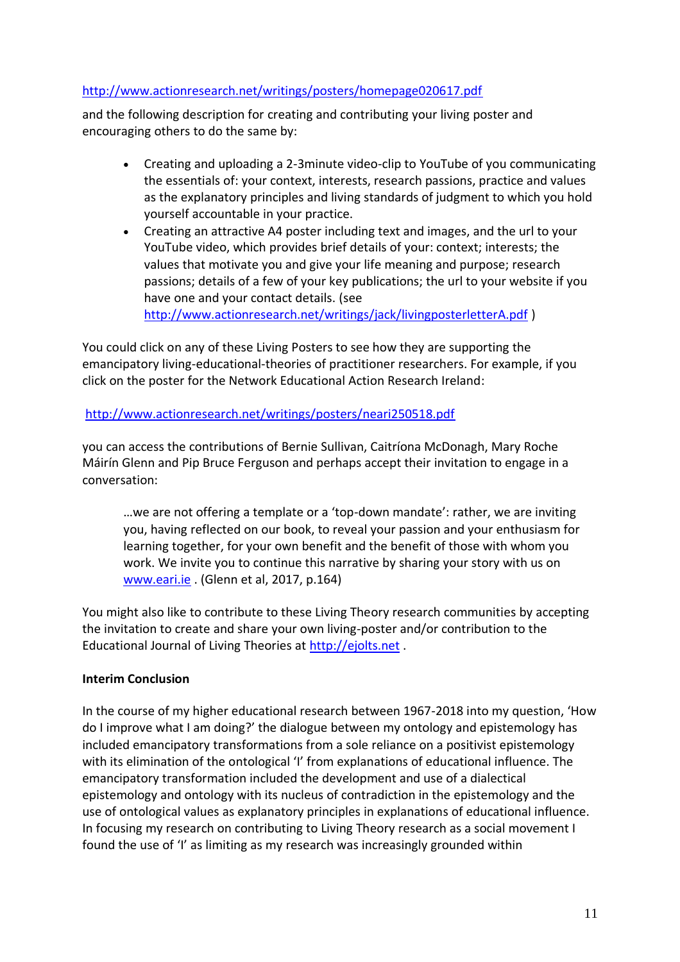## <http://www.actionresearch.net/writings/posters/homepage020617.pdf>

and the following description for creating and contributing your living poster and encouraging others to do the same by:

- Creating and uploading a 2-3minute video-clip to YouTube of you communicating the essentials of: your context, interests, research passions, practice and values as the explanatory principles and living standards of judgment to which you hold yourself accountable in your practice.
- Creating an attractive A4 poster including text and images, and the url to your YouTube video, which provides brief details of your: context; interests; the values that motivate you and give your life meaning and purpose; research passions; details of a few of your key publications; the url to your website if you have one and your contact details. (see <http://www.actionresearch.net/writings/jack/livingposterletterA.pdf>)

You could click on any of these Living Posters to see how they are supporting the emancipatory living-educational-theories of practitioner researchers. For example, if you click on the poster for the Network Educational Action Research Ireland:

## <http://www.actionresearch.net/writings/posters/neari250518.pdf>

you can access the contributions of Bernie Sullivan, Caitríona McDonagh, Mary Roche Máirín Glenn and Pip Bruce Ferguson and perhaps accept their invitation to engage in a conversation:

…we are not offering a template or a 'top-down mandate': rather, we are inviting you, having reflected on our book, to reveal your passion and your enthusiasm for learning together, for your own benefit and the benefit of those with whom you work. We invite you to continue this narrative by sharing your story with us on [www.eari.ie](http://www.eari.ie/) . (Glenn et al, 2017, p.164)

You might also like to contribute to these Living Theory research communities by accepting the invitation to create and share your own living-poster and/or contribution to the Educational Journal of Living Theories at [http://ejolts.net](http://ejolts.net/) .

## **Interim Conclusion**

In the course of my higher educational research between 1967-2018 into my question, 'How do I improve what I am doing?' the dialogue between my ontology and epistemology has included emancipatory transformations from a sole reliance on a positivist epistemology with its elimination of the ontological 'I' from explanations of educational influence. The emancipatory transformation included the development and use of a dialectical epistemology and ontology with its nucleus of contradiction in the epistemology and the use of ontological values as explanatory principles in explanations of educational influence. In focusing my research on contributing to Living Theory research as a social movement I found the use of 'I' as limiting as my research was increasingly grounded within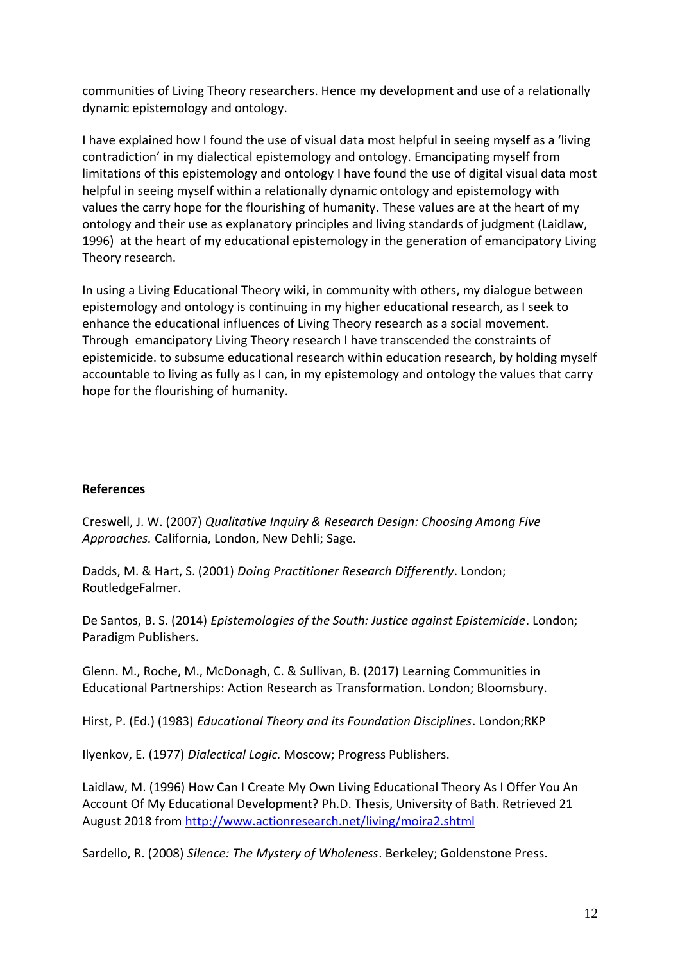communities of Living Theory researchers. Hence my development and use of a relationally dynamic epistemology and ontology.

I have explained how I found the use of visual data most helpful in seeing myself as a 'living contradiction' in my dialectical epistemology and ontology. Emancipating myself from limitations of this epistemology and ontology I have found the use of digital visual data most helpful in seeing myself within a relationally dynamic ontology and epistemology with values the carry hope for the flourishing of humanity. These values are at the heart of my ontology and their use as explanatory principles and living standards of judgment (Laidlaw, 1996) at the heart of my educational epistemology in the generation of emancipatory Living Theory research.

In using a Living Educational Theory wiki, in community with others, my dialogue between epistemology and ontology is continuing in my higher educational research, as I seek to enhance the educational influences of Living Theory research as a social movement. Through emancipatory Living Theory research I have transcended the constraints of epistemicide. to subsume educational research within education research, by holding myself accountable to living as fully as I can, in my epistemology and ontology the values that carry hope for the flourishing of humanity.

## **References**

Creswell, J. W. (2007) *Qualitative Inquiry & Research Design: Choosing Among Five Approaches.* California, London, New Dehli; Sage.

Dadds, M. & Hart, S. (2001) *Doing Practitioner Research Differently*. London; RoutledgeFalmer.

De Santos, B. S. (2014) *Epistemologies of the South: Justice against Epistemicide*. London; Paradigm Publishers.

Glenn. M., Roche, M., McDonagh, C. & Sullivan, B. (2017) Learning Communities in Educational Partnerships: Action Research as Transformation. London; Bloomsbury.

Hirst, P. (Ed.) (1983) *Educational Theory and its Foundation Disciplines*. London;RKP

Ilyenkov, E. (1977) *Dialectical Logic.* Moscow; Progress Publishers.

Laidlaw, M. (1996) How Can I Create My Own Living Educational Theory As I Offer You An Account Of My Educational Development? Ph.D. Thesis, University of Bath. Retrieved 21 August 2018 from <http://www.actionresearch.net/living/moira2.shtml>

Sardello, R. (2008) *Silence: The Mystery of Wholeness*. Berkeley; Goldenstone Press.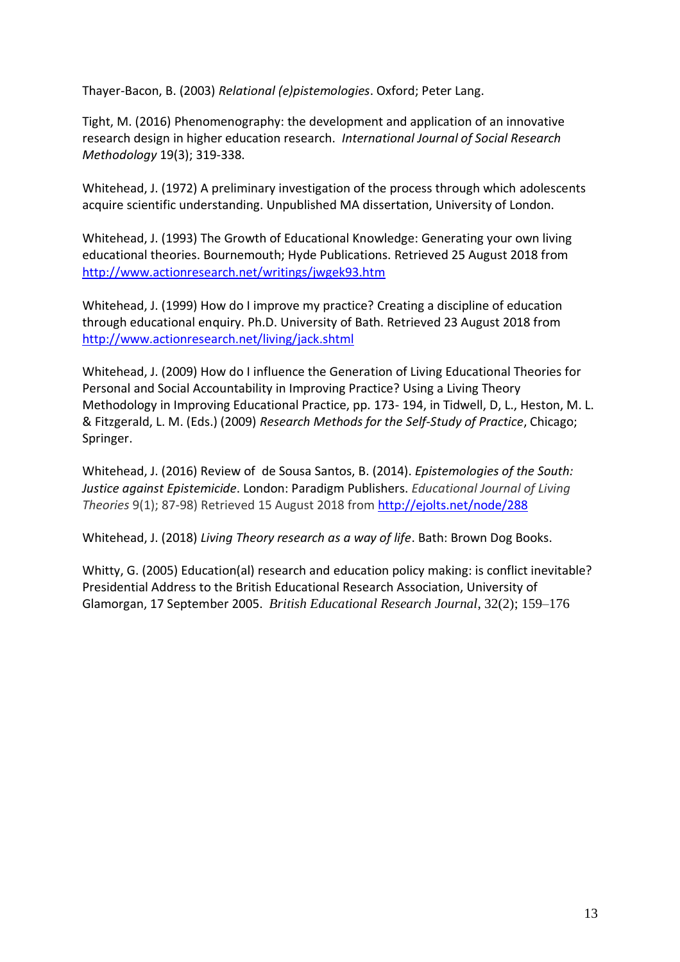Thayer-Bacon, B. (2003) *Relational (e)pistemologies*. Oxford; Peter Lang.

Tight, M. (2016) Phenomenography: the development and application of an innovative research design in higher education research. *[International Journal of Social Research](http://www.tandfonline.com/toc/tsrm20/current)  [Methodology](http://www.tandfonline.com/toc/tsrm20/current)* 19(3); 319-338.

Whitehead, J. (1972) A preliminary investigation of the process through which adolescents acquire scientific understanding. Unpublished MA dissertation, University of London.

Whitehead, J. (1993) The Growth of Educational Knowledge: Generating your own living educational theories. Bournemouth; Hyde Publications. Retrieved 25 August 2018 from <http://www.actionresearch.net/writings/jwgek93.htm>

Whitehead, J. (1999) How do I improve my practice? Creating a discipline of education through educational enquiry. Ph.D. University of Bath. Retrieved 23 August 2018 from <http://www.actionresearch.net/living/jack.shtml>

Whitehead, J. (2009) How do I influence the Generation of Living Educational Theories for Personal and Social Accountability in Improving Practice? Using a Living Theory Methodology in Improving Educational Practice, pp. 173- 194, in Tidwell, D, L., Heston, M. L. & Fitzgerald, L. M. (Eds.) (2009) *Research Methods for the Self-Study of Practice*, Chicago; Springer.

Whitehead, J. (2016) Review of de Sousa Santos, B. (2014). *[Epistemologies](http://ejolts.net/node/288) of the South: Justice against [Epistemicide](http://ejolts.net/node/288)*. London: Paradigm Publishers. *Educational Journal of Living Theories* 9(1); 87-98) Retrieved 15 August 2018 from <http://ejolts.net/node/288>

Whitehead, J. (2018) *Living Theory research as a way of life*. Bath: Brown Dog Books.

Whitty, G. (2005) Education(al) research and education policy making: is conflict inevitable? Presidential Address to the British Educational Research Association, University of Glamorgan, 17 September 2005. *British Educational Research Journal*, 32(2); 159–176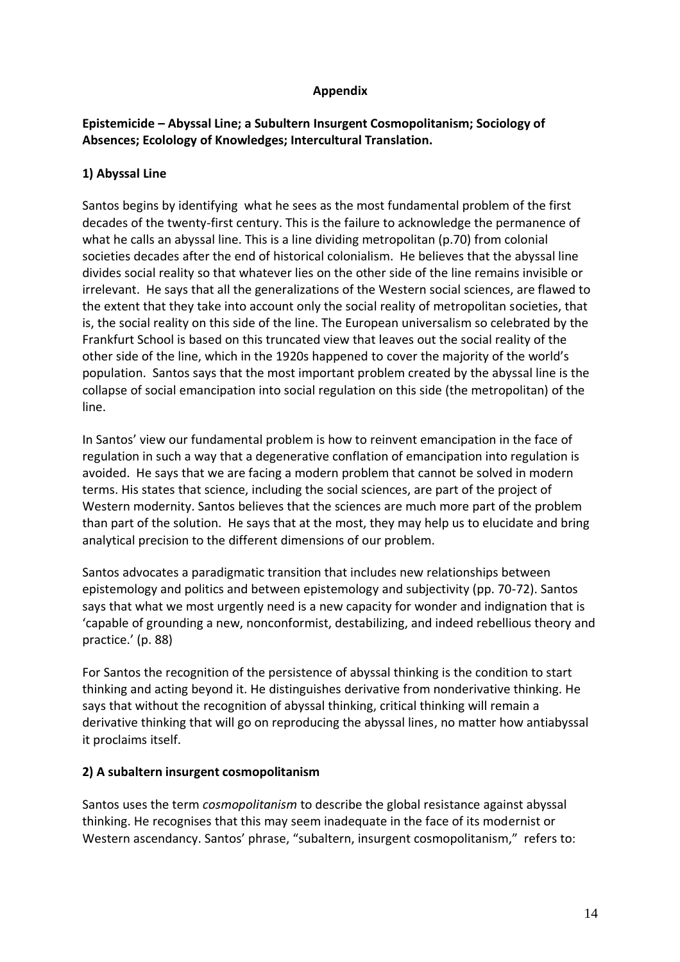### **Appendix**

## **Epistemicide – Abyssal Line; a Subultern Insurgent Cosmopolitanism; Sociology of Absences; Ecolology of Knowledges; Intercultural Translation.**

## **1) Abyssal Line**

Santos begins by identifying what he sees as the most fundamental problem of the first decades of the twenty-first century. This is the failure to acknowledge the permanence of what he calls an abyssal line. This is a line dividing metropolitan (p.70) from colonial societies decades after the end of historical colonialism. He believes that the abyssal line divides social reality so that whatever lies on the other side of the line remains invisible or irrelevant. He says that all the generalizations of the Western social sciences, are flawed to the extent that they take into account only the social reality of metropolitan societies, that is, the social reality on this side of the line. The European universalism so celebrated by the Frankfurt School is based on this truncated view that leaves out the social reality of the other side of the line, which in the 1920s happened to cover the majority of the world's population. Santos says that the most important problem created by the abyssal line is the collapse of social emancipation into social regulation on this side (the metropolitan) of the line.

In Santos' view our fundamental problem is how to reinvent emancipation in the face of regulation in such a way that a degenerative conflation of emancipation into regulation is avoided. He says that we are facing a modern problem that cannot be solved in modern terms. His states that science, including the social sciences, are part of the project of Western modernity. Santos believes that the sciences are much more part of the problem than part of the solution. He says that at the most, they may help us to elucidate and bring analytical precision to the different dimensions of our problem.

Santos advocates a paradigmatic transition that includes new relationships between epistemology and politics and between epistemology and subjectivity (pp. 70-72). Santos says that what we most urgently need is a new capacity for wonder and indignation that is 'capable of grounding a new, nonconformist, destabilizing, and indeed rebellious theory and practice.' (p. 88)

For Santos the recognition of the persistence of abyssal thinking is the condition to start thinking and acting beyond it. He distinguishes derivative from nonderivative thinking. He says that without the recognition of abyssal thinking, critical thinking will remain a derivative thinking that will go on reproducing the abyssal lines, no matter how antiabyssal it proclaims itself.

## **2) A subaltern insurgent cosmopolitanism**

Santos uses the term *cosmopolitanism* to describe the global resistance against abyssal thinking. He recognises that this may seem inadequate in the face of its modernist or Western ascendancy. Santos' phrase, "subaltern, insurgent cosmopolitanism," refers to: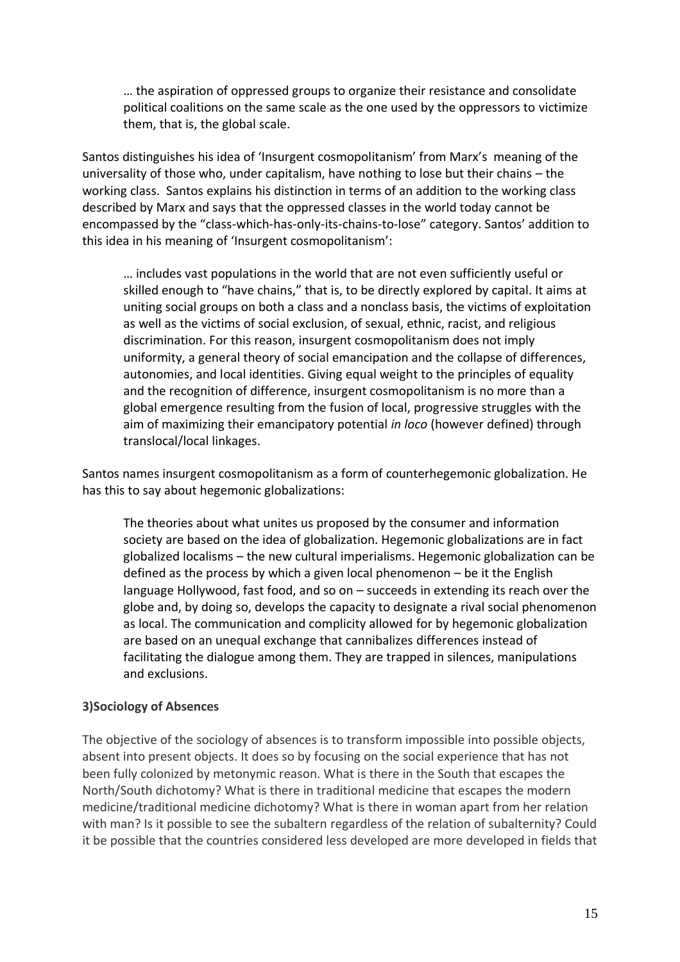… the aspiration of oppressed groups to organize their resistance and consolidate political coalitions on the same scale as the one used by the oppressors to victimize them, that is, the global scale.

Santos distinguishes his idea of 'Insurgent cosmopolitanism' from Marx's meaning of the universality of those who, under capitalism, have nothing to lose but their chains – the working class. Santos explains his distinction in terms of an addition to the working class described by Marx and says that the oppressed classes in the world today cannot be encompassed by the "class-which-has-only-its-chains-to-lose" category. Santos' addition to this idea in his meaning of 'Insurgent cosmopolitanism':

… includes vast populations in the world that are not even sufficiently useful or skilled enough to "have chains," that is, to be directly explored by capital. It aims at uniting social groups on both a class and a nonclass basis, the victims of exploitation as well as the victims of social exclusion, of sexual, ethnic, racist, and religious discrimination. For this reason, insurgent cosmopolitanism does not imply uniformity, a general theory of social emancipation and the collapse of differences, autonomies, and local identities. Giving equal weight to the principles of equality and the recognition of difference, insurgent cosmopolitanism is no more than a global emergence resulting from the fusion of local, progressive struggles with the aim of maximizing their emancipatory potential *in loco* (however defined) through translocal/local linkages.

Santos names insurgent cosmopolitanism as a form of counterhegemonic globalization. He has this to say about hegemonic globalizations:

The theories about what unites us proposed by the consumer and information society are based on the idea of globalization. Hegemonic globalizations are in fact globalized localisms – the new cultural imperialisms. Hegemonic globalization can be defined as the process by which a given local phenomenon – be it the English language Hollywood, fast food, and so on – succeeds in extending its reach over the globe and, by doing so, develops the capacity to designate a rival social phenomenon as local. The communication and complicity allowed for by hegemonic globalization are based on an unequal exchange that cannibalizes differences instead of facilitating the dialogue among them. They are trapped in silences, manipulations and exclusions.

#### **3)Sociology of Absences**

The objective of the sociology of absences is to transform impossible into possible objects, absent into present objects. It does so by focusing on the social experience that has not been fully colonized by metonymic reason. What is there in the South that escapes the North/South dichotomy? What is there in traditional medicine that escapes the modern medicine/traditional medicine dichotomy? What is there in woman apart from her relation with man? Is it possible to see the subaltern regardless of the relation of subalternity? Could it be possible that the countries considered less developed are more developed in fields that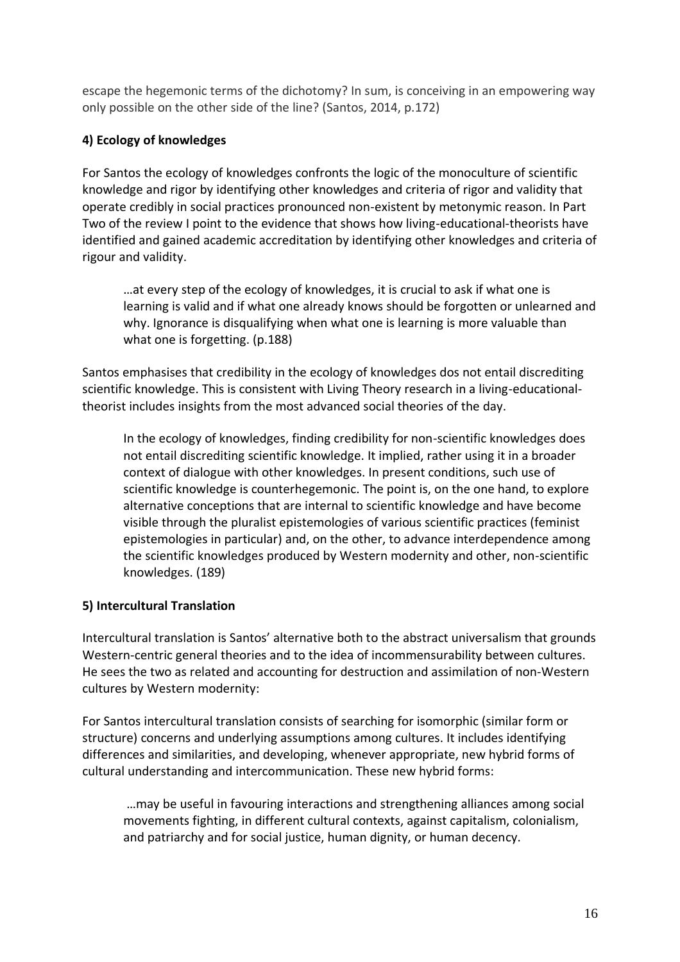escape the hegemonic terms of the dichotomy? In sum, is conceiving in an empowering way only possible on the other side of the line? (Santos, 2014, p.172)

# **4) Ecology of knowledges**

For Santos the ecology of knowledges confronts the logic of the monoculture of scientific knowledge and rigor by identifying other knowledges and criteria of rigor and validity that operate credibly in social practices pronounced non-existent by metonymic reason. In Part Two of the review I point to the evidence that shows how living-educational-theorists have identified and gained academic accreditation by identifying other knowledges and criteria of rigour and validity.

…at every step of the ecology of knowledges, it is crucial to ask if what one is learning is valid and if what one already knows should be forgotten or unlearned and why. Ignorance is disqualifying when what one is learning is more valuable than what one is forgetting. (p.188)

Santos emphasises that credibility in the ecology of knowledges dos not entail discrediting scientific knowledge. This is consistent with Living Theory research in a living-educationaltheorist includes insights from the most advanced social theories of the day.

In the ecology of knowledges, finding credibility for non-scientific knowledges does not entail discrediting scientific knowledge. It implied, rather using it in a broader context of dialogue with other knowledges. In present conditions, such use of scientific knowledge is counterhegemonic. The point is, on the one hand, to explore alternative conceptions that are internal to scientific knowledge and have become visible through the pluralist epistemologies of various scientific practices (feminist epistemologies in particular) and, on the other, to advance interdependence among the scientific knowledges produced by Western modernity and other, non-scientific knowledges. (189)

# **5) Intercultural Translation**

Intercultural translation is Santos' alternative both to the abstract universalism that grounds Western-centric general theories and to the idea of incommensurability between cultures. He sees the two as related and accounting for destruction and assimilation of non-Western cultures by Western modernity:

For Santos intercultural translation consists of searching for isomorphic (similar form or structure) concerns and underlying assumptions among cultures. It includes identifying differences and similarities, and developing, whenever appropriate, new hybrid forms of cultural understanding and intercommunication. These new hybrid forms:

…may be useful in favouring interactions and strengthening alliances among social movements fighting, in different cultural contexts, against capitalism, colonialism, and patriarchy and for social justice, human dignity, or human decency.